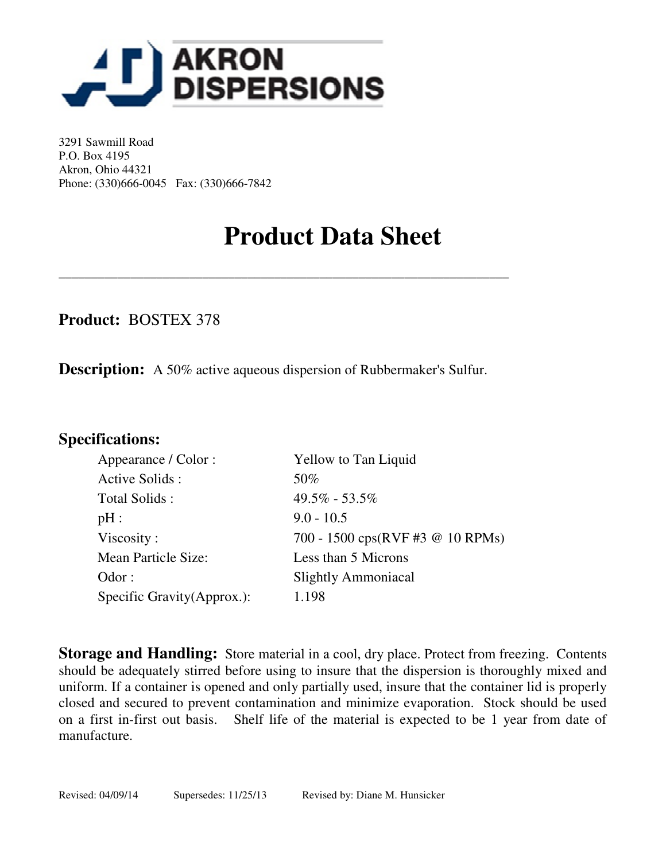

3291 Sawmill Road P.O. Box 4195 Akron, Ohio 44321 Phone: (330)666-0045 Fax: (330)666-7842

## **Product Data Sheet**

**Product:** BOSTEX 378

**Description:** A 50% active aqueous dispersion of Rubbermaker's Sulfur.

\_\_\_\_\_\_\_\_\_\_\_\_\_\_\_\_\_\_\_\_\_\_\_\_\_\_\_\_\_\_\_\_\_\_\_\_\_\_\_\_\_\_\_\_\_\_\_\_\_\_\_\_\_\_\_\_\_\_\_\_\_\_\_\_\_\_\_\_\_

### **Specifications:**

| <b>Yellow to Tan Liquid</b>      |
|----------------------------------|
| 50%                              |
| $49.5\% - 53.5\%$                |
| $9.0 - 10.5$                     |
| 700 - 1500 cps(RVF #3 @ 10 RPMs) |
| Less than 5 Microns              |
| <b>Slightly Ammoniacal</b>       |
| 1.198                            |
|                                  |

**Storage and Handling:** Store material in a cool, dry place. Protect from freezing. Contents should be adequately stirred before using to insure that the dispersion is thoroughly mixed and uniform. If a container is opened and only partially used, insure that the container lid is properly closed and secured to prevent contamination and minimize evaporation. Stock should be used on a first in-first out basis. Shelf life of the material is expected to be 1 year from date of manufacture.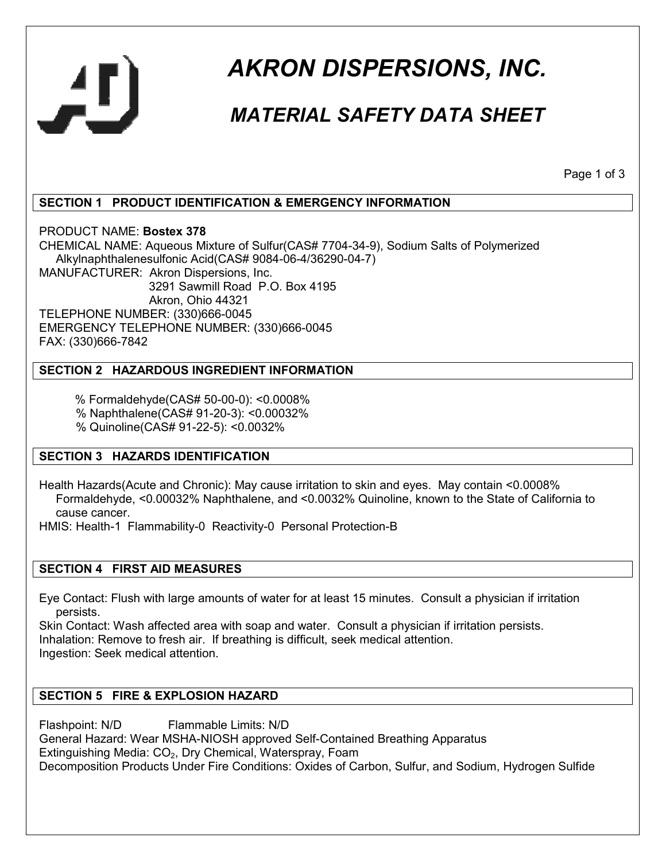

# *AKRON DISPERSIONS, INC.*

### *MATERIAL SAFETY DATA SHEET*

Page 1 of 3

#### **SECTION 1 PRODUCT IDENTIFICATION & EMERGENCY INFORMATION**

PRODUCT NAME: **Bostex 378** CHEMICAL NAME: Aqueous Mixture of Sulfur(CAS# 7704-34-9), Sodium Salts of Polymerized Alkylnaphthalenesulfonic Acid(CAS# 9084-06-4/36290-04-7) MANUFACTURER: Akron Dispersions, Inc. 3291 Sawmill Road P.O. Box 4195 Akron, Ohio 44321 TELEPHONE NUMBER: (330)666-0045 EMERGENCY TELEPHONE NUMBER: (330)666-0045 FAX: (330)666-7842

#### **SECTION 2 HAZARDOUS INGREDIENT INFORMATION**

% Formaldehyde(CAS# 50-00-0): <0.0008%

% Naphthalene(CAS# 91-20-3): <0.00032%

% Quinoline(CAS# 91-22-5): <0.0032%

#### **SECTION 3 HAZARDS IDENTIFICATION**

Health Hazards(Acute and Chronic): May cause irritation to skin and eyes. May contain <0.0008% Formaldehyde, <0.00032% Naphthalene, and <0.0032% Quinoline, known to the State of California to cause cancer.

HMIS: Health-1 Flammability-0 Reactivity-0 Personal Protection-B

#### **SECTION 4 FIRST AID MEASURES**

Eye Contact: Flush with large amounts of water for at least 15 minutes. Consult a physician if irritation persists.

Skin Contact: Wash affected area with soap and water. Consult a physician if irritation persists. Inhalation: Remove to fresh air. If breathing is difficult, seek medical attention. Ingestion: Seek medical attention.

#### **SECTION 5 FIRE & EXPLOSION HAZARD**

Flashpoint: N/D Flammable Limits: N/D General Hazard: Wear MSHA-NIOSH approved Self-Contained Breathing Apparatus Extinguishing Media:  $CO<sub>2</sub>$ , Dry Chemical, Waterspray, Foam Decomposition Products Under Fire Conditions: Oxides of Carbon, Sulfur, and Sodium, Hydrogen Sulfide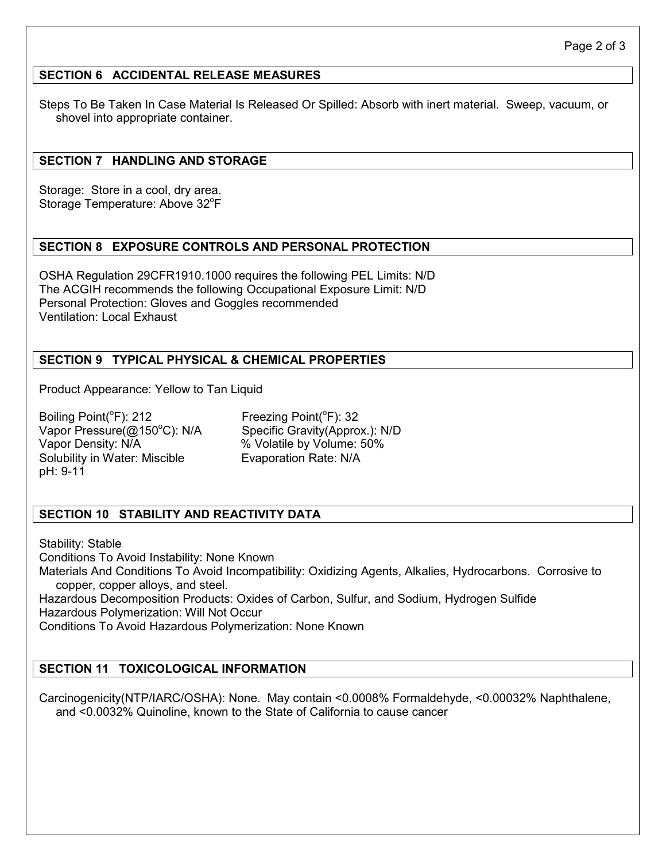#### **SECTION 6 ACCIDENTAL RELEASE MEASURES**

Steps To Be Taken In Case Material Is Released Or Spilled: Absorb with inert material. Sweep, vacuum, or shovel into appropriate container.

#### **SECTION 7 HANDLING AND STORAGE**

Storage: Store in a cool, dry area. Storage Temperature: Above 32°F

#### **SECTION 8 EXPOSURE CONTROLS AND PERSONAL PROTECTION**

OSHA Regulation 29CFR1910.1000 requires the following PEL Limits: N/D The ACGIH recommends the following Occupational Exposure Limit: N/D Personal Protection: Gloves and Goggles recommended Ventilation: Local Exhaust

#### **SECTION 9 TYPICAL PHYSICAL & CHEMICAL PROPERTIES**

Product Appearance: Yellow to Tan Liquid

Boiling Point( ${}^{\circ}$ F): 212 Freezing Point( ${}^{\circ}$ F): 32 Vapor Pressure(@150°C): N/A Specific Gravity(Approx.): N/D Vapor Density: N/A  $\%$  Volatile by Volume: 50% Solubility in Water: Miscible Evaporation Rate: N/A pH: 9-11

#### **SECTION 10 STABILITY AND REACTIVITY DATA**

Stability: Stable Conditions To Avoid Instability: None Known Materials And Conditions To Avoid Incompatibility: Oxidizing Agents, Alkalies, Hydrocarbons. Corrosive to copper, copper alloys, and steel. Hazardous Decomposition Products: Oxides of Carbon, Sulfur, and Sodium, Hydrogen Sulfide Hazardous Polymerization: Will Not Occur Conditions To Avoid Hazardous Polymerization: None Known

#### **SECTION 11 TOXICOLOGICAL INFORMATION**

Carcinogenicity(NTP/IARC/OSHA): None. May contain <0.0008% Formaldehyde, <0.00032% Naphthalene, and <0.0032% Quinoline, known to the State of California to cause cancer